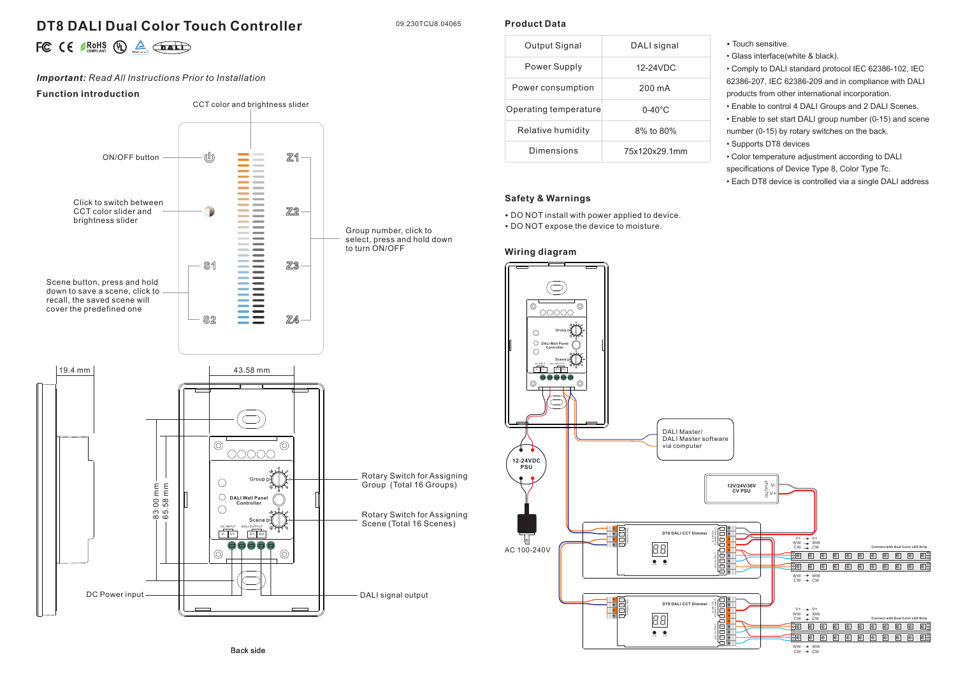# **DT8 DALI Dual Color Touch Controller**

09.230TCU8.04065

**Product Data**

|  |  | FC $\in$ $\mathbb{R}$ ROHS $\oplus$ $\mathbb{A}$ $\overline{\text{path}}$ |  |
|--|--|---------------------------------------------------------------------------|--|
|  |  |                                                                           |  |

# *Important: Read All Instructions Prior to Installation*

### **Function introduction**



| Output Signal         | DALI signal        |  |  |  |  |  |  |  |  |
|-----------------------|--------------------|--|--|--|--|--|--|--|--|
| Power Supply          | 12-24VDC           |  |  |  |  |  |  |  |  |
| Power consumption     | 200 mA             |  |  |  |  |  |  |  |  |
| Operating temperature | $0 - 40^{\circ}$ C |  |  |  |  |  |  |  |  |
| Relative humidity     | 8% to 80%          |  |  |  |  |  |  |  |  |
| Dimensions            | 75x120x29.1mm      |  |  |  |  |  |  |  |  |

## **Safety & Warnings**

• DO NOT install with power applied to device. • DO NOT expose the device to moisture.

## **Wiring diagram**

• Touch sensitive.

• Glass interface(white & black).

• Comply to DALI standard protocol IEC 62386-102, IEC 62386-207, IEC 62386-209 and in compliance with DALI products from other international incorporation.

• Enable to control 4 DALI Groups and 2 DALI Scenes.

• Enable to set start DALI group number (0-15) and scene number (0-15) by rotary switches on the back.

- Supports DT8 devices
- Color temperature adjustment according to DALI specifications of Device Type 8, Color Type Tc.

• Each DT8 device is controlled via a single DALI address